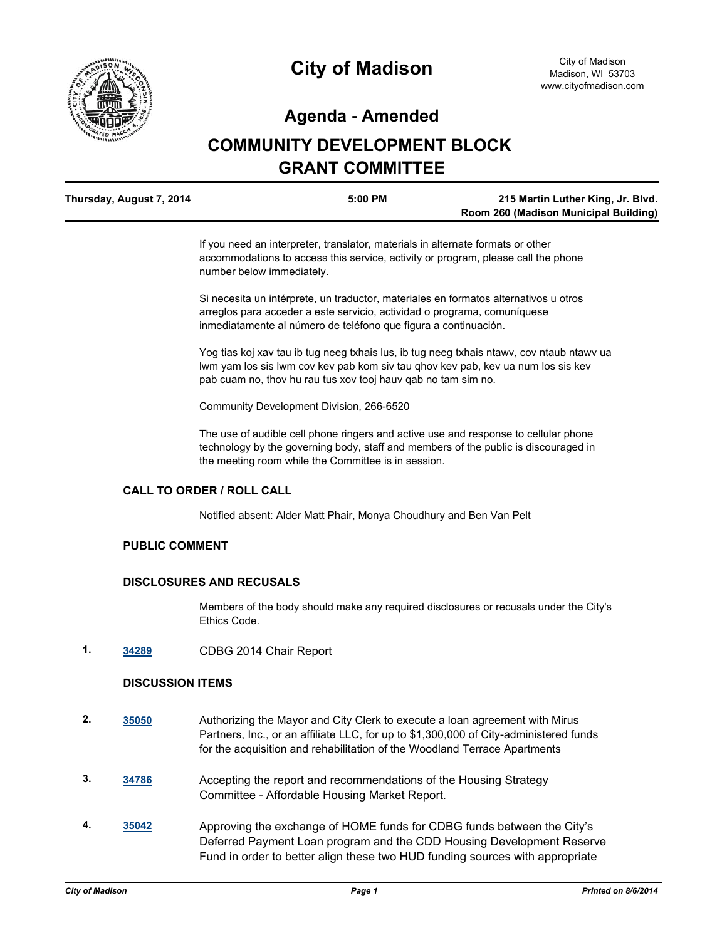

# **Agenda - Amended**

# **COMMUNITY DEVELOPMENT BLOCK GRANT COMMITTEE**

| Thursday, August 7, 2014 | 5:00 PM | 215 Martin Luther King, Jr. Blvd.     |
|--------------------------|---------|---------------------------------------|
|                          |         | Room 260 (Madison Municipal Building) |

If you need an interpreter, translator, materials in alternate formats or other accommodations to access this service, activity or program, please call the phone number below immediately.

Si necesita un intérprete, un traductor, materiales en formatos alternativos u otros arreglos para acceder a este servicio, actividad o programa, comuníquese inmediatamente al número de teléfono que figura a continuación.

Yog tias koj xav tau ib tug neeg txhais lus, ib tug neeg txhais ntawv, cov ntaub ntawv ua lwm yam los sis lwm cov kev pab kom siv tau qhov kev pab, kev ua num los sis kev pab cuam no, thov hu rau tus xov tooj hauv qab no tam sim no.

Community Development Division, 266-6520

The use of audible cell phone ringers and active use and response to cellular phone technology by the governing body, staff and members of the public is discouraged in the meeting room while the Committee is in session.

## **CALL TO ORDER / ROLL CALL**

Notified absent: Alder Matt Phair, Monya Choudhury and Ben Van Pelt

#### **PUBLIC COMMENT**

#### **DISCLOSURES AND RECUSALS**

Members of the body should make any required disclosures or recusals under the City's Ethics Code.

**1. [34289](http://madison.legistar.com/gateway.aspx?m=l&id=/matter.aspx?key=37393)** CDBG 2014 Chair Report

#### **DISCUSSION ITEMS**

- **2. [35050](http://madison.legistar.com/gateway.aspx?m=l&id=/matter.aspx?key=38141)** Authorizing the Mayor and City Clerk to execute a loan agreement with Mirus Partners, Inc., or an affiliate LLC, for up to \$1,300,000 of City-administered funds for the acquisition and rehabilitation of the Woodland Terrace Apartments
- **3. [34786](http://madison.legistar.com/gateway.aspx?m=l&id=/matter.aspx?key=37885)** Accepting the report and recommendations of the Housing Strategy Committee - Affordable Housing Market Report.
- **4. [35042](http://madison.legistar.com/gateway.aspx?m=l&id=/matter.aspx?key=38133)** Approving the exchange of HOME funds for CDBG funds between the City's Deferred Payment Loan program and the CDD Housing Development Reserve Fund in order to better align these two HUD funding sources with appropriate